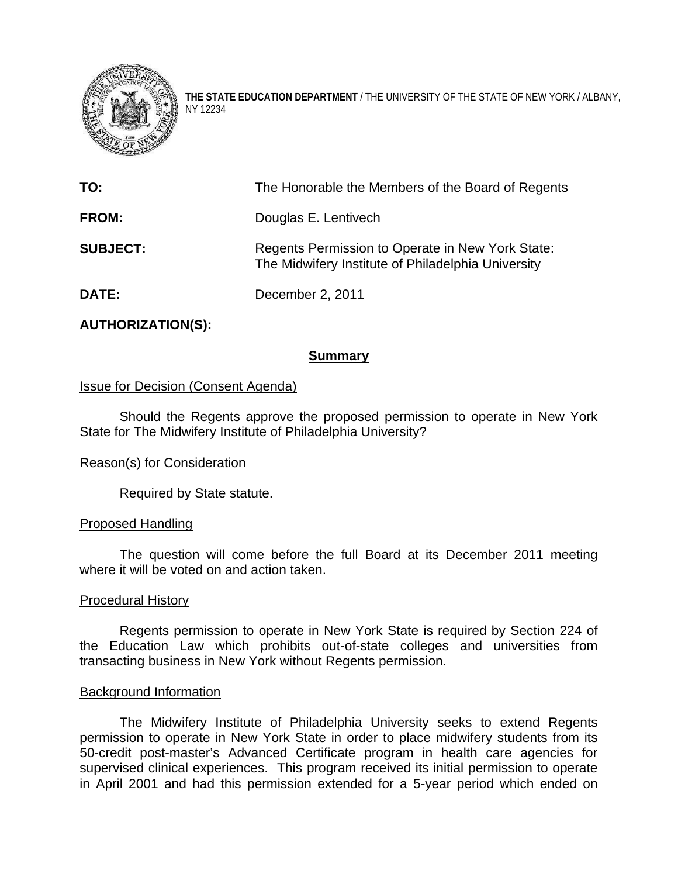

**THE STATE EDUCATION DEPARTMENT** / THE UNIVERSITY OF THE STATE OF NEW YORK / ALBANY, NY 12234

| TO:             | The Honorable the Members of the Board of Regents                                                      |
|-----------------|--------------------------------------------------------------------------------------------------------|
| <b>FROM:</b>    | Douglas E. Lentivech                                                                                   |
| <b>SUBJECT:</b> | Regents Permission to Operate in New York State:<br>The Midwifery Institute of Philadelphia University |
| <b>DATE:</b>    | December 2, 2011                                                                                       |

# **AUTHORIZATION(S):**

## **Summary**

### **Issue for Decision (Consent Agenda)**

Should the Regents approve the proposed permission to operate in New York State for The Midwifery Institute of Philadelphia University?

#### Reason(s) for Consideration

Required by State statute.

## Proposed Handling

The question will come before the full Board at its December 2011 meeting where it will be voted on and action taken.

#### Procedural History

Regents permission to operate in New York State is required by Section 224 of the Education Law which prohibits out-of-state colleges and universities from transacting business in New York without Regents permission.

#### Background Information

The Midwifery Institute of Philadelphia University seeks to extend Regents permission to operate in New York State in order to place midwifery students from its 50-credit post-master's Advanced Certificate program in health care agencies for supervised clinical experiences. This program received its initial permission to operate in April 2001 and had this permission extended for a 5-year period which ended on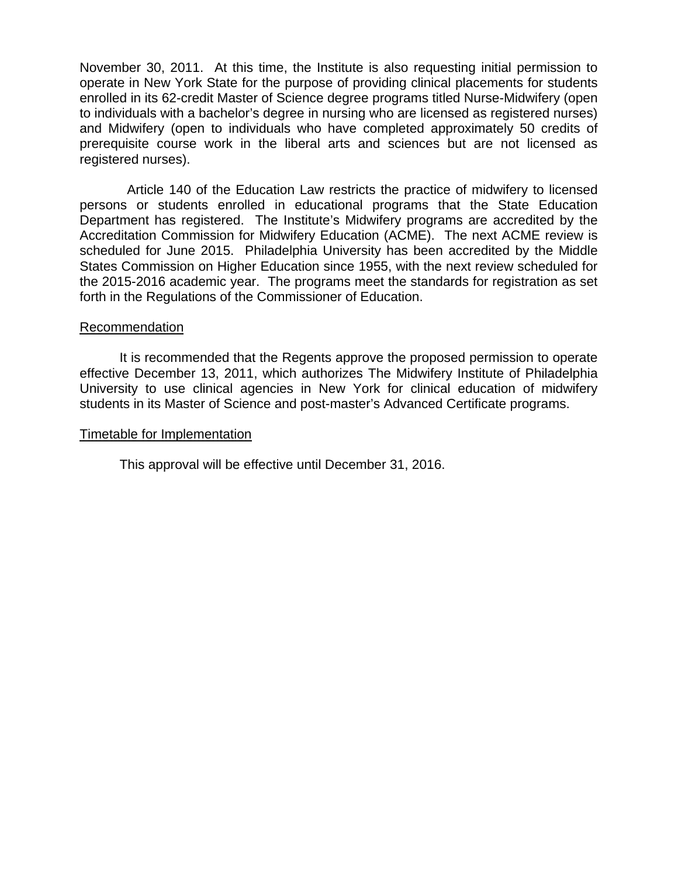November 30, 2011. At this time, the Institute is also requesting initial permission to operate in New York State for the purpose of providing clinical placements for students enrolled in its 62-credit Master of Science degree programs titled Nurse-Midwifery (open to individuals with a bachelor's degree in nursing who are licensed as registered nurses) and Midwifery (open to individuals who have completed approximately 50 credits of prerequisite course work in the liberal arts and sciences but are not licensed as registered nurses).

 Article 140 of the Education Law restricts the practice of midwifery to licensed persons or students enrolled in educational programs that the State Education Department has registered. The Institute's Midwifery programs are accredited by the Accreditation Commission for Midwifery Education (ACME). The next ACME review is scheduled for June 2015. Philadelphia University has been accredited by the Middle States Commission on Higher Education since 1955, with the next review scheduled for the 2015-2016 academic year. The programs meet the standards for registration as set forth in the Regulations of the Commissioner of Education.

## Recommendation

It is recommended that the Regents approve the proposed permission to operate effective December 13, 2011, which authorizes The Midwifery Institute of Philadelphia University to use clinical agencies in New York for clinical education of midwifery students in its Master of Science and post-master's Advanced Certificate programs.

### Timetable for Implementation

This approval will be effective until December 31, 2016.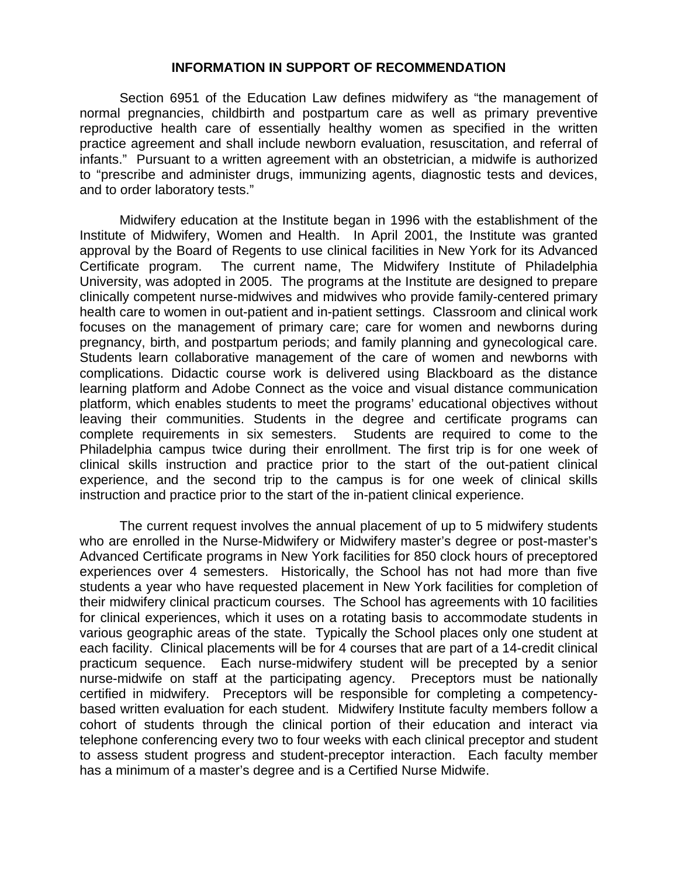### **INFORMATION IN SUPPORT OF RECOMMENDATION**

 Section 6951 of the Education Law defines midwifery as "the management of normal pregnancies, childbirth and postpartum care as well as primary preventive reproductive health care of essentially healthy women as specified in the written practice agreement and shall include newborn evaluation, resuscitation, and referral of infants." Pursuant to a written agreement with an obstetrician, a midwife is authorized to "prescribe and administer drugs, immunizing agents, diagnostic tests and devices, and to order laboratory tests."

 Midwifery education at the Institute began in 1996 with the establishment of the Institute of Midwifery, Women and Health. In April 2001, the Institute was granted approval by the Board of Regents to use clinical facilities in New York for its Advanced Certificate program. The current name, The Midwifery Institute of Philadelphia University, was adopted in 2005. The programs at the Institute are designed to prepare clinically competent nurse-midwives and midwives who provide family-centered primary health care to women in out-patient and in-patient settings. Classroom and clinical work focuses on the management of primary care; care for women and newborns during pregnancy, birth, and postpartum periods; and family planning and gynecological care. Students learn collaborative management of the care of women and newborns with complications. Didactic course work is delivered using Blackboard as the distance learning platform and Adobe Connect as the voice and visual distance communication platform, which enables students to meet the programs' educational objectives without leaving their communities. Students in the degree and certificate programs can complete requirements in six semesters. Students are required to come to the Philadelphia campus twice during their enrollment. The first trip is for one week of clinical skills instruction and practice prior to the start of the out-patient clinical experience, and the second trip to the campus is for one week of clinical skills instruction and practice prior to the start of the in-patient clinical experience.

 The current request involves the annual placement of up to 5 midwifery students who are enrolled in the Nurse-Midwifery or Midwifery master's degree or post-master's Advanced Certificate programs in New York facilities for 850 clock hours of preceptored experiences over 4 semesters. Historically, the School has not had more than five students a year who have requested placement in New York facilities for completion of their midwifery clinical practicum courses. The School has agreements with 10 facilities for clinical experiences, which it uses on a rotating basis to accommodate students in various geographic areas of the state. Typically the School places only one student at each facility. Clinical placements will be for 4 courses that are part of a 14-credit clinical practicum sequence. Each nurse-midwifery student will be precepted by a senior nurse-midwife on staff at the participating agency. Preceptors must be nationally certified in midwifery. Preceptors will be responsible for completing a competencybased written evaluation for each student. Midwifery Institute faculty members follow a cohort of students through the clinical portion of their education and interact via telephone conferencing every two to four weeks with each clinical preceptor and student to assess student progress and student-preceptor interaction. Each faculty member has a minimum of a master's degree and is a Certified Nurse Midwife.